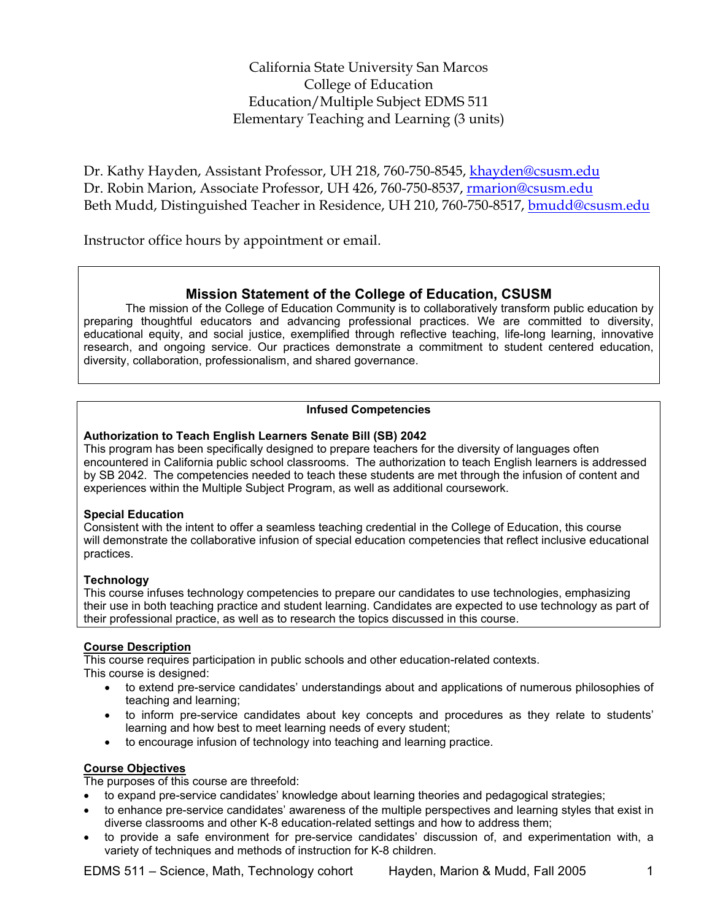California State University San Marcos College of Education Education/Multiple Subject EDMS 511 Elementary Teaching and Learning (3 units)

Dr. Kathy Hayden, Assistant Professor, UH 218, 760-750-8545, khayden@csusm.edu Dr. Robin Marion, Associate Professor, UH 426, 760-750-8537, rmarion@csusm.edu Beth Mudd, Distinguished Teacher in Residence, UH 210, 760-750-8517, bmudd@csusm.edu

Instructor office hours by appointment or email.

## **Mission Statement of the College of Education, CSUSM**

The mission of the College of Education Community is to collaboratively transform public education by preparing thoughtful educators and advancing professional practices. We are committed to diversity, educational equity, and social justice, exemplified through reflective teaching, life-long learning, innovative research, and ongoing service. Our practices demonstrate a commitment to student centered education, diversity, collaboration, professionalism, and shared governance.

## **Infused Competencies**

### **Authorization to Teach English Learners Senate Bill (SB) 2042**

This program has been specifically designed to prepare teachers for the diversity of languages often encountered in California public school classrooms. The authorization to teach English learners is addressed by SB 2042. The competencies needed to teach these students are met through the infusion of content and experiences within the Multiple Subject Program, as well as additional coursework.

### **Special Education**

Consistent with the intent to offer a seamless teaching credential in the College of Education, this course will demonstrate the collaborative infusion of special education competencies that reflect inclusive educational practices.

### **Technology**

This course infuses technology competencies to prepare our candidates to use technologies, emphasizing their use in both teaching practice and student learning. Candidates are expected to use technology as part of their professional practice, as well as to research the topics discussed in this course.

## **Course Description**

This course requires participation in public schools and other education-related contexts. This course is designed:

- to extend pre-service candidates' understandings about and applications of numerous philosophies of teaching and learning;
- to inform pre-service candidates about key concepts and procedures as they relate to students' learning and how best to meet learning needs of every student;
- to encourage infusion of technology into teaching and learning practice.

### **Course Objectives**

The purposes of this course are threefold:

- to expand pre-service candidates' knowledge about learning theories and pedagogical strategies;
- to enhance pre-service candidates' awareness of the multiple perspectives and learning styles that exist in diverse classrooms and other K-8 education-related settings and how to address them;
- to provide a safe environment for pre-service candidates' discussion of, and experimentation with, a variety of techniques and methods of instruction for K-8 children.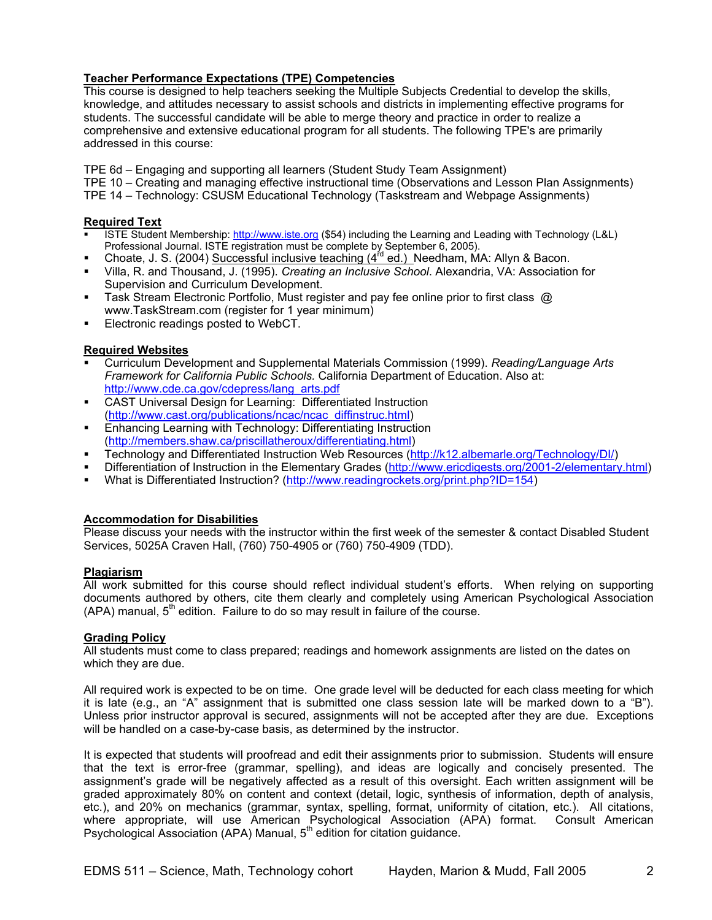### **Teacher Performance Expectations (TPE) Competencies**

This course is designed to help teachers seeking the Multiple Subjects Credential to develop the skills, knowledge, and attitudes necessary to assist schools and districts in implementing effective programs for students. The successful candidate will be able to merge theory and practice in order to realize a comprehensive and extensive educational program for all students. The following TPE's are primarily addressed in this course:

TPE 6d – Engaging and supporting all learners (Student Study Team Assignment)

TPE 10 – Creating and managing effective instructional time (Observations and Lesson Plan Assignments)

TPE 14 – Technology: CSUSM Educational Technology (Taskstream and Webpage Assignments)

### **Required Text**

- ISTE Student Membership: http://www.iste.org (\$54) including the Learning and Leading with Technology (L&L) Professional Journal. ISTE registration must be complete by September 6, 2005).
- Choate, J. S. (2004) Successful inclusive teaching (4<sup>rd</sup> ed.) Needham, MA: Allyn & Bacon.
- Villa, R. and Thousand, J. (1995). *Creating an Inclusive School*. Alexandria, VA: Association for Supervision and Curriculum Development.
- Task Stream Electronic Portfolio, Must register and pay fee online prior to first class @ www.TaskStream.com (register for 1 year minimum)
- Electronic readings posted to WebCT.

### **Required Websites**

- Curriculum Development and Supplemental Materials Commission (1999). *Reading/Language Arts Framework for California Public Schools.* California Department of Education. Also at: http://www.cde.ca.gov/cdepress/lang\_arts.pdf
- CAST Universal Design for Learning: Differentiated Instruction (http://www.cast.org/publications/ncac/ncac\_diffinstruc.html)
- Enhancing Learning with Technology: Differentiating Instruction (http://members.shaw.ca/priscillatheroux/differentiating.html)
- Technology and Differentiated Instruction Web Resources (http://k12.albemarle.org/Technology/DI/)
- Differentiation of Instruction in the Elementary Grades (http://www.ericdigests.org/2001-2/elementary.html)
- What is Differentiated Instruction? (http://www.readingrockets.org/print.php?ID=154)

### **Accommodation for Disabilities**

Please discuss your needs with the instructor within the first week of the semester & contact Disabled Student Services, 5025A Craven Hall, (760) 750-4905 or (760) 750-4909 (TDD).

### **Plagiarism**

All work submitted for this course should reflect individual student's efforts. When relying on supporting documents authored by others, cite them clearly and completely using American Psychological Association  $(APA)$  manual,  $5<sup>th</sup>$  edition. Failure to do so may result in failure of the course.

### **Grading Policy**

All students must come to class prepared; readings and homework assignments are listed on the dates on which they are due.

All required work is expected to be on time. One grade level will be deducted for each class meeting for which it is late (e.g., an "A" assignment that is submitted one class session late will be marked down to a "B"). Unless prior instructor approval is secured, assignments will not be accepted after they are due. Exceptions will be handled on a case-by-case basis, as determined by the instructor.

It is expected that students will proofread and edit their assignments prior to submission. Students will ensure that the text is error-free (grammar, spelling), and ideas are logically and concisely presented. The assignment's grade will be negatively affected as a result of this oversight. Each written assignment will be graded approximately 80% on content and context (detail, logic, synthesis of information, depth of analysis, etc.), and 20% on mechanics (grammar, syntax, spelling, format, uniformity of citation, etc.). All citations, where appropriate, will use American Psychological Association (APA) format. Consult American Psychological Association (APA) Manual, 5<sup>th</sup> edition for citation guidance.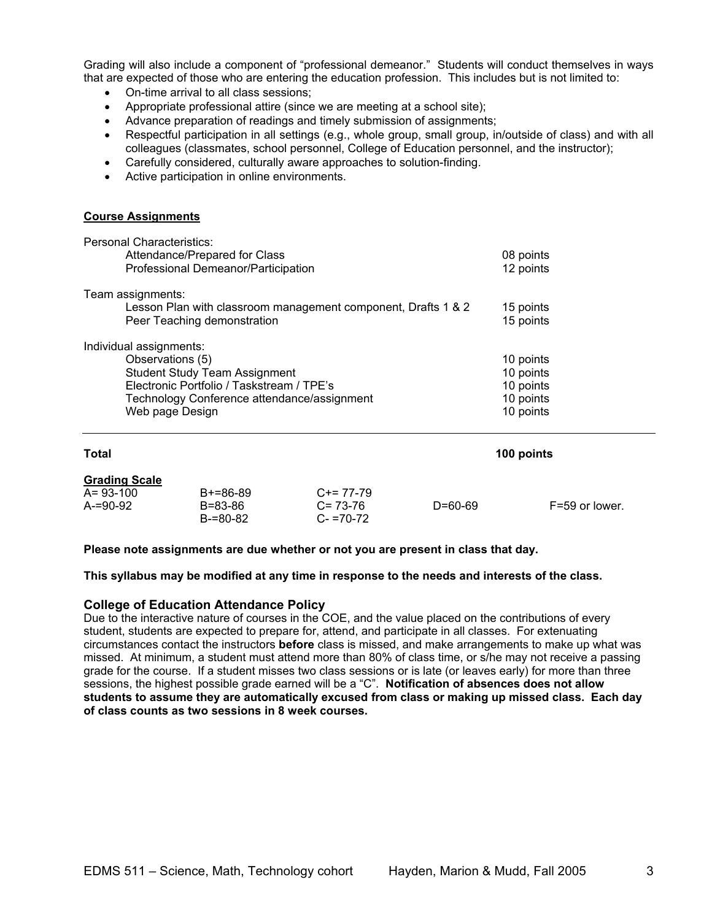Grading will also include a component of "professional demeanor." Students will conduct themselves in ways that are expected of those who are entering the education profession. This includes but is not limited to:

- On-time arrival to all class sessions;
- Appropriate professional attire (since we are meeting at a school site);
- Advance preparation of readings and timely submission of assignments;
- Respectful participation in all settings (e.g., whole group, small group, in/outside of class) and with all colleagues (classmates, school personnel, College of Education personnel, and the instructor);
- Carefully considered, culturally aware approaches to solution-finding.
- Active participation in online environments.

#### **Course Assignments**

| <b>Personal Characteristics:</b><br>Attendance/Prepared for Class<br>Professional Demeanor/Participation                                                                                           | 08 points<br>12 points                                        |
|----------------------------------------------------------------------------------------------------------------------------------------------------------------------------------------------------|---------------------------------------------------------------|
| Team assignments:<br>Lesson Plan with classroom management component, Drafts 1 & 2<br>Peer Teaching demonstration                                                                                  | 15 points<br>15 points                                        |
| Individual assignments:<br>Observations (5)<br><b>Student Study Team Assignment</b><br>Electronic Portfolio / Taskstream / TPE's<br>Technology Conference attendance/assignment<br>Web page Design | 10 points<br>10 points<br>10 points<br>10 points<br>10 points |

| <b>Total</b>                                          |                                        | 100 points                                  |               |                |
|-------------------------------------------------------|----------------------------------------|---------------------------------------------|---------------|----------------|
| <b>Grading Scale</b><br>$A = 93 - 100$<br>$A = 90-92$ | $B+=86-89$<br>B=83-86<br>$B = 80 - 82$ | $C+= 77-79$<br>$C = 73-76$<br>$C - 70 - 72$ | $D = 60 - 69$ | F=59 or lower. |

**Please note assignments are due whether or not you are present in class that day.** 

**This syllabus may be modified at any time in response to the needs and interests of the class.** 

#### **College of Education Attendance Policy**

Due to the interactive nature of courses in the COE, and the value placed on the contributions of every student, students are expected to prepare for, attend, and participate in all classes. For extenuating circumstances contact the instructors **before** class is missed, and make arrangements to make up what was missed. At minimum, a student must attend more than 80% of class time, or s/he may not receive a passing grade for the course. If a student misses two class sessions or is late (or leaves early) for more than three sessions, the highest possible grade earned will be a "C". **Notification of absences does not allow students to assume they are automatically excused from class or making up missed class. Each day of class counts as two sessions in 8 week courses.**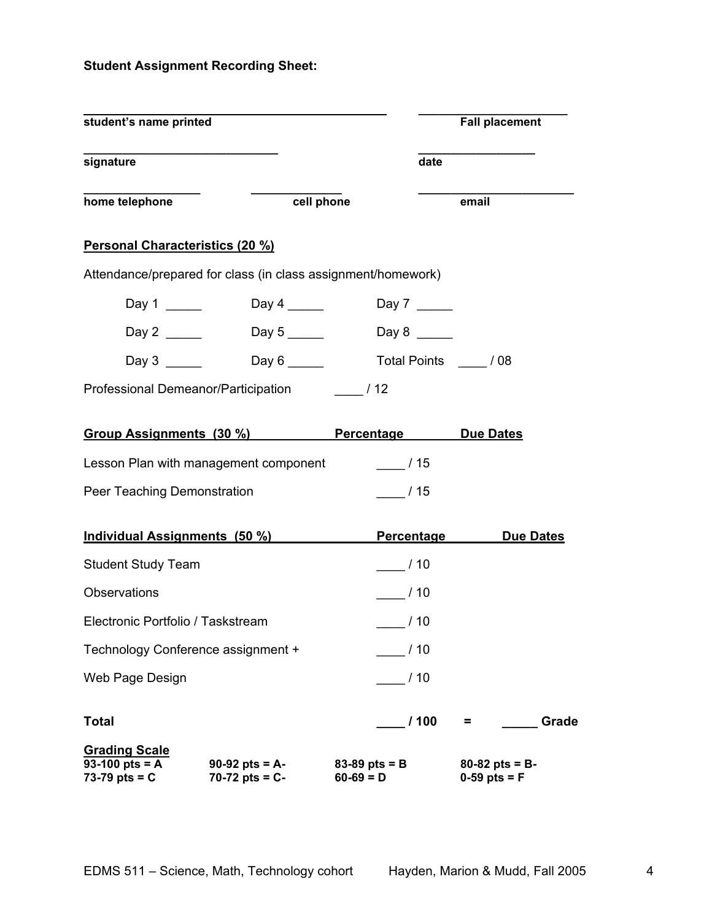# **Student Assignment Recording Sheet:**

| student's name printed                                      |                                                              |                                  | <b>Fall placement</b>                |
|-------------------------------------------------------------|--------------------------------------------------------------|----------------------------------|--------------------------------------|
| signature                                                   |                                                              | date                             |                                      |
| home telephone                                              | cell phone                                                   |                                  | email                                |
| Personal Characteristics (20 %)                             |                                                              |                                  |                                      |
|                                                             | Attendance/prepared for class (in class assignment/homework) |                                  |                                      |
|                                                             |                                                              |                                  |                                      |
| Day 2 $\_\_\_\_\_\_\_\_\_\$                                 |                                                              |                                  |                                      |
|                                                             |                                                              |                                  |                                      |
|                                                             | Professional Demeanor/Participation / 12                     |                                  |                                      |
|                                                             | Group Assignments (30 %) Percentage                          |                                  | <b>Due Dates</b>                     |
|                                                             | Lesson Plan with management component                        | $\frac{1}{15}$                   |                                      |
| Peer Teaching Demonstration                                 |                                                              | /15                              |                                      |
|                                                             | Individual Assignments (50 %)                                | <b>Percentage</b>                | <b>Due Dates</b>                     |
| <b>Student Study Team</b>                                   |                                                              | $\frac{1}{2}$ /10                |                                      |
| <b>Observations</b>                                         |                                                              | /10                              |                                      |
| Electronic Portfolio / Taskstream                           |                                                              | $-$ / 10                         |                                      |
| Technology Conference assignment +                          |                                                              | /10                              |                                      |
| Web Page Design                                             |                                                              | /10                              |                                      |
| <b>Total</b>                                                |                                                              | /100                             | Grade<br>Ξ.                          |
| <b>Grading Scale</b><br>93-100 pts = $A$<br>73-79 pts = $C$ | $90-92$ pts = A-<br>70-72 pts = $C -$                        | $83 - 89$ pts = B<br>$60-69 = D$ | $80 - 82$ pts = B-<br>$0-59$ pts = F |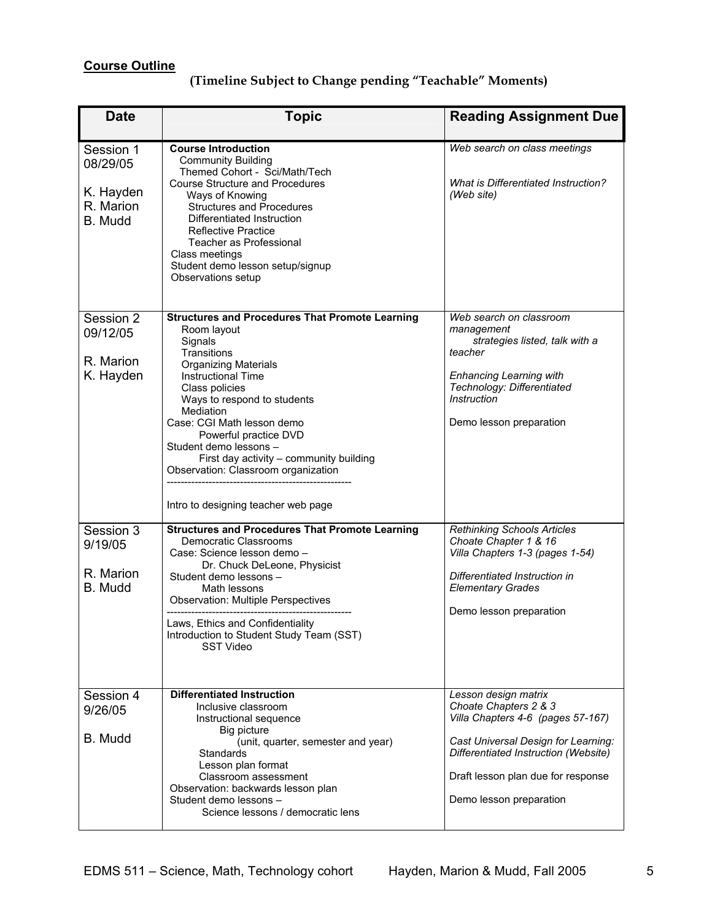# **Course Outline**

| <b>Date</b>                                                | <b>Topic</b>                                                                                                                                                                                                                                                                                                                                                                                                                        | <b>Reading Assignment Due</b>                                                                                                                                                                                                      |
|------------------------------------------------------------|-------------------------------------------------------------------------------------------------------------------------------------------------------------------------------------------------------------------------------------------------------------------------------------------------------------------------------------------------------------------------------------------------------------------------------------|------------------------------------------------------------------------------------------------------------------------------------------------------------------------------------------------------------------------------------|
| Session 1<br>08/29/05<br>K. Hayden<br>R. Marion<br>B. Mudd | <b>Course Introduction</b><br><b>Community Building</b><br>Themed Cohort - Sci/Math/Tech<br><b>Course Structure and Procedures</b><br>Ways of Knowing<br><b>Structures and Procedures</b><br>Differentiated Instruction<br><b>Reflective Practice</b><br><b>Teacher as Professional</b><br>Class meetings<br>Student demo lesson setup/signup<br>Observations setup                                                                 | Web search on class meetings<br><b>What is Differentiated Instruction?</b><br>(Web site)                                                                                                                                           |
| Session 2<br>09/12/05<br>R. Marion<br>K. Hayden            | <b>Structures and Procedures That Promote Learning</b><br>Room layout<br>Signals<br>Transitions<br><b>Organizing Materials</b><br><b>Instructional Time</b><br>Class policies<br>Ways to respond to students<br>Mediation<br>Case: CGI Math lesson demo<br>Powerful practice DVD<br>Student demo lessons -<br>First day activity - community building<br>Observation: Classroom organization<br>Intro to designing teacher web page | Web search on classroom<br>management<br>strategies listed, talk with a<br>teacher<br><b>Enhancing Learning with</b><br>Technology: Differentiated<br><b>Instruction</b><br>Demo lesson preparation                                |
| Session 3<br>9/19/05<br>R. Marion<br>B. Mudd               | <b>Structures and Procedures That Promote Learning</b><br>Democratic Classrooms<br>Case: Science lesson demo -<br>Dr. Chuck DeLeone, Physicist<br>Student demo lessons -<br>Math lessons<br><b>Observation: Multiple Perspectives</b><br>Laws, Ethics and Confidentiality<br>Introduction to Student Study Team (SST)<br><b>SST Video</b>                                                                                           | <b>Rethinking Schools Articles</b><br>Choate Chapter 1 & 16<br>Villa Chapters 1-3 (pages 1-54)<br>Differentiated Instruction in<br><b>Elementary Grades</b><br>Demo lesson preparation                                             |
| Session 4<br>9/26/05<br>B. Mudd                            | <b>Differentiated Instruction</b><br>Inclusive classroom<br>Instructional sequence<br>Big picture<br>(unit, quarter, semester and year)<br>Standards<br>Lesson plan format<br>Classroom assessment<br>Observation: backwards lesson plan<br>Student demo lessons -<br>Science lessons / democratic lens                                                                                                                             | Lesson design matrix<br>Choate Chapters 2 & 3<br>Villa Chapters 4-6 (pages 57-167)<br>Cast Universal Design for Learning:<br>Differentiated Instruction (Website)<br>Draft lesson plan due for response<br>Demo lesson preparation |